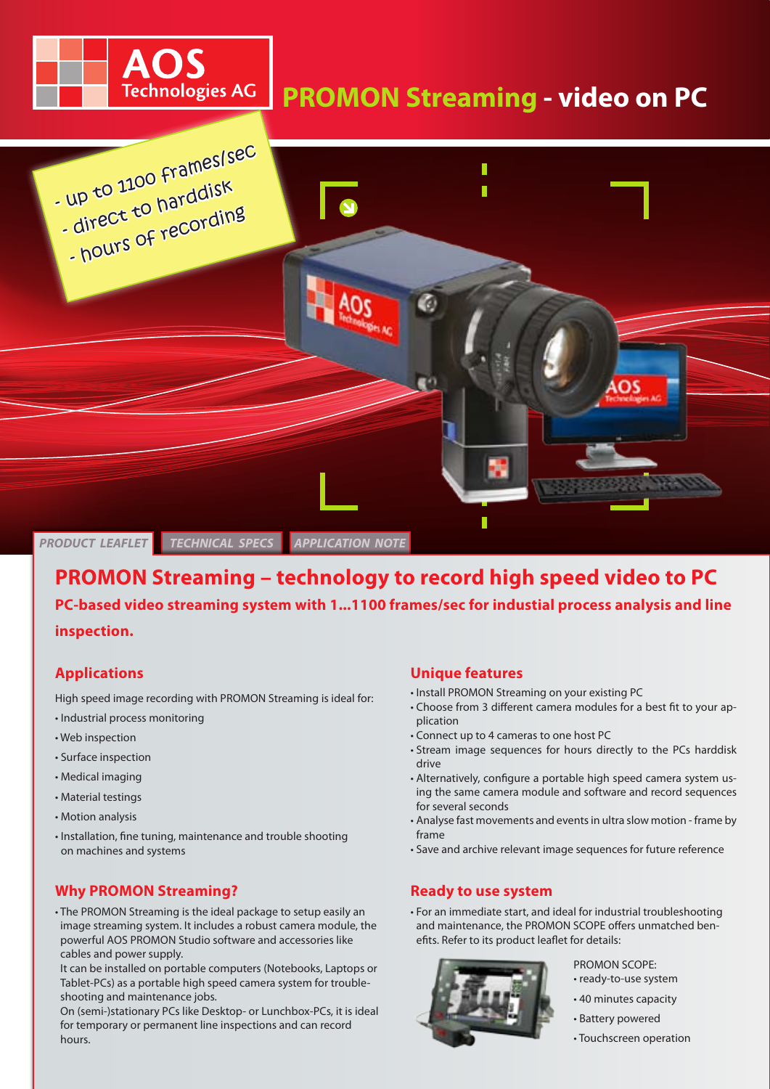# **PROMON Streaming - video on PC**



# **PROMON Streaming – technology to record high speed video to PC PC-based video streaming system with 1...1100 frames/sec for industial process analysis and line inspection.**

## **Applications**

High speed image recording with PROMON Streaming is ideal for:

OS

**Technologies AG** 

- Industrial process monitoring
- Web inspection
- Surface inspection
- Medical imaging
- Material testings
- Motion analysis
- Installation, fine tuning, maintenance and trouble shooting on machines and systems

# **Why PROMON Streaming?**

• The PROMON Streaming is the ideal package to setup easily an image streaming system. It includes a robust camera module, the powerful AOS PROMON Studio software and accessories like cables and power supply.

It can be installed on portable computers (Notebooks, Laptops or Tablet-PCs) as a portable high speed camera system for troubleshooting and maintenance jobs.

On (semi-)stationary PCs like Desktop- or Lunchbox-PCs, it is ideal for temporary or permanent line inspections and can record hours.

## **Unique features**

- Install PROMON Streaming on your existing PC
- Choose from 3 different camera modules for a best fit to your application
- Connect up to 4 cameras to one host PC
- Stream image sequences for hours directly to the PCs harddisk drive
- Alternatively, configure a portable high speed camera system using the same camera module and software and record sequences for several seconds
- Analyse fast movements and events in ultra slow motion frame by frame
- Save and archive relevant image sequences for future reference

#### **Ready to use system**

• For an immediate start, and ideal for industrial troubleshooting and maintenance, the PROMON SCOPE offers unmatched benefits. Refer to its product leaflet for details:



PROMON SCOPE:

- ready-to-use system
- 40 minutes capacity
- Battery powered
- Touchscreen operation